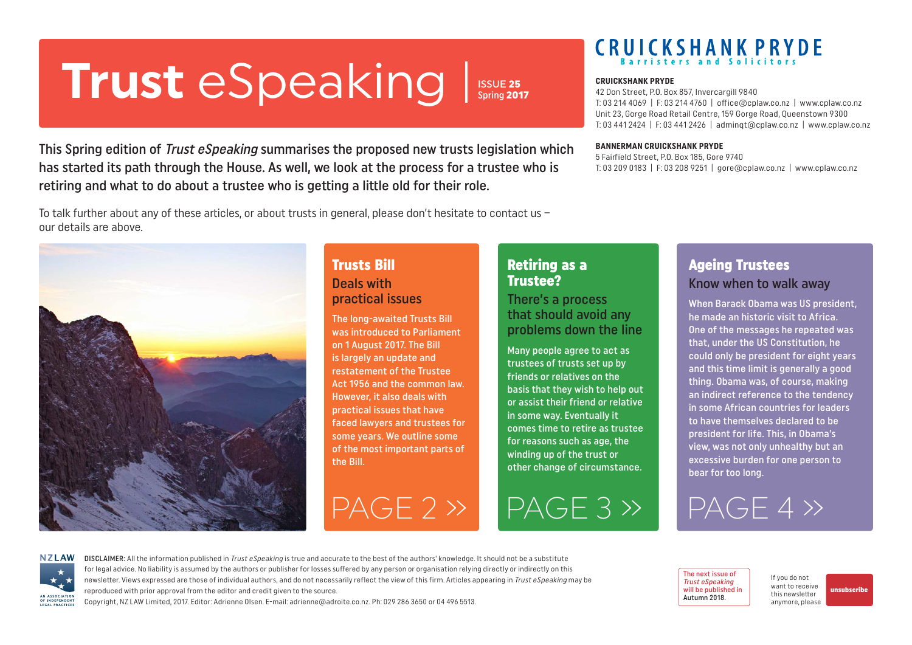# <span id="page-0-0"></span>**Trust** eSpeaking Spring 2017<br> **CRUICKSHANK PRYDE**

ISSUE 25 Spring 2017

This Spring edition of *Trust eSpeaking* summarises the proposed new trusts legislation which has started its path through the House. As well, we look at the process for a trustee who is retiring and what to do about a trustee who is getting a little old for their role.

To talk further about any of these articles, or about trusts in general, please don't hesitate to contact us – our details are above.



## Trusts Bill Deals with practical issues

The long-awaited Trusts Bill was introduced to Parliament on 1 August 2017. The Bill is largely an update and restatement of the Trustee Act 1956 and the common law. However, it also deals with practical issues that have faced lawyers and trustees for some years. We outline some of the most important parts of the Bill.

## Retiring as a Trustee?

There's a process that should avoid any problems down the line

Many people agree to act as trustees of trusts set up by friends or relatives on the basis that they wish to help out or assist their friend or relative in some way. Eventually it comes time to retire as trustee for reasons such as age, the winding up of the trust or other change of circumstance.

Ageing Trustees Know when to walk away

When Barack Obama was US president, he made an historic visit to Africa. One of the messages he repeated was that, under the US Constitution, he could only be president for eight years and this time limit is generally a good thing. Obama was, of course, making an indirect reference to the tendency in some African countries for leaders to have themselves declared to be president for life. This, in Obama's view, was not only unhealthy but an excessive burden for one person to bear for too long.





DISCLAIMER: All the information published in Trust eSpeaking is true and accurate to the best of the authors' knowledge. It should not be a substitute for legal advice. No liability is assumed by the authors or publisher for losses suffered by any person or organisation relying directly or indirectly on this newsletter. Views expressed are those of individual authors, and do not necessarily reflect the view of this firm. Articles appearing in Trust eSpeaking may be reproduced with prior approval from the editor and credit given to the source.

Copyright, NZ LAW Limited, 2017. Editor: Adrienne Olsen. [E-mail: adrienne@adroite.co.nz.](mailto:adrienne@adroite.co.nz) Ph: 029 286 3650 or 04 496 5513.

42 Don Street, P.O. Box 857, Invercargill 9840 T: 03 214 4069 | F: 03 214 4760 | office@cplaw.co.nz | www.cplaw.co.nz Unit 23, Gorge Road Retail Centre, 159 Gorge Road, Queenstown 9300 T: 03 441 2424 | F: 03 441 2426 | adminqt@cplaw.co.nz | www.cplaw.co.nz

#### **BANNERMAN CRUICKSHANK PRYDE**

5 Fairfield Street, P.O. Box 185, Gore 9740 T: 03 209 0183 | F: 03 208 9251 | gore@cplaw.co.nz | www.cplaw.co.nz

> The next issue of Trust eSpeaking will be published in Autumn 2018.

If you do not want to receive this newsletter anymore, please [unsubscribe](mailto:adrienne%40adroite.co.nz?subject=Property%20Speaking%20-%20unsubscribe%20me%20please)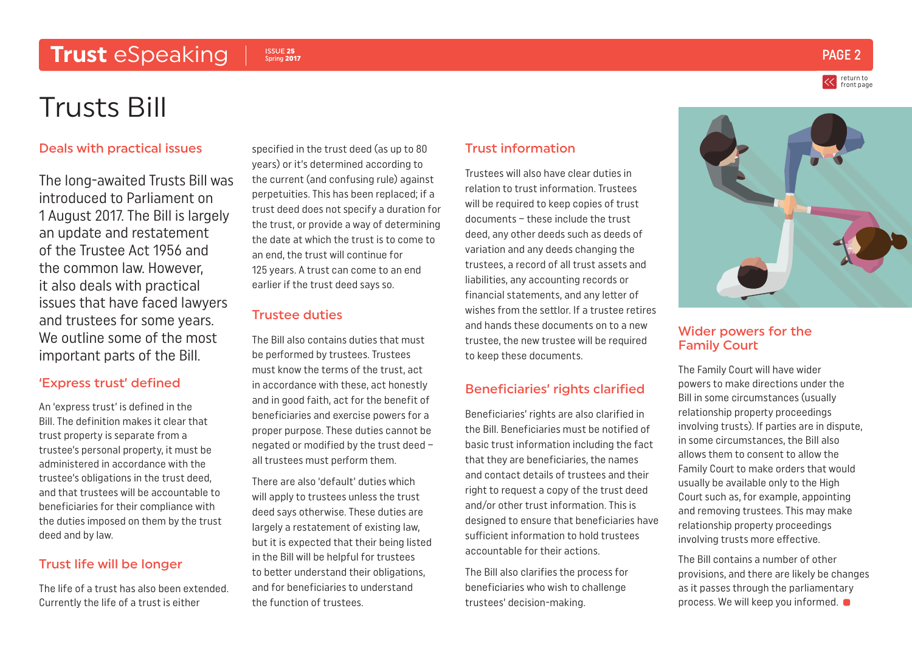## <span id="page-1-0"></span>**Trust** eSpeaking PAGE 2

#### ISSUE 25 Spring 2017

# Trusts Bill

#### Deals with practical issues

The long-awaited Trusts Bill was introduced to Parliament on 1 August 2017. The Bill is largely an update and restatement of the Trustee Act 1956 and the common law. However, it also deals with practical issues that have faced lawyers and trustees for some years. We outline some of the most important parts of the Bill.

#### 'Express trust' defined

An 'express trust' is defined in the Bill. The definition makes it clear that trust property is separate from a trustee's personal property, it must be administered in accordance with the trustee's obligations in the trust deed, and that trustees will be accountable to beneficiaries for their compliance with the duties imposed on them by the trust deed and by law.

### Trust life will be longer

The life of a trust has also been extended. Currently the life of a trust is either

specified in the trust deed (as up to 80 years) or it's determined according to the current (and confusing rule) against perpetuities. This has been replaced; if a trust deed does not specify a duration for the trust, or provide a way of determining the date at which the trust is to come to an end, the trust will continue for 125 years. A trust can come to an end earlier if the trust deed says so.

#### Trustee duties

The Bill also contains duties that must be performed by trustees. Trustees must know the terms of the trust, act in accordance with these, act honestly and in good faith, act for the benefit of beneficiaries and exercise powers for a proper purpose. These duties cannot be negated or modified by the trust deed – all trustees must perform them.

There are also 'default' duties which will apply to trustees unless the trust deed says otherwise. These duties are largely a restatement of existing law, but it is expected that their being listed in the Bill will be helpful for trustees to better understand their obligations, and for beneficiaries to understand the function of trustees.

#### Trust information

Trustees will also have clear duties in relation to trust information. Trustees will be required to keep copies of trust documents – these include the trust deed, any other deeds such as deeds of variation and any deeds changing the trustees, a record of all trust assets and liabilities, any accounting records or financial statements, and any letter of wishes from the settlor. If a trustee retires and hands these documents on to a new trustee, the new trustee will be required to keep these documents.

#### Beneficiaries' rights clarified

Beneficiaries' rights are also clarified in the Bill. Beneficiaries must be notified of basic trust information including the fact that they are beneficiaries, the names and contact details of trustees and their right to request a copy of the trust deed and/or other trust information. This is designed to ensure that beneficiaries have sufficient information to hold trustees accountable for their actions.

The Bill also clarifies the process for beneficiaries who wish to challenge trustees' decision-making.



#### Wider powers for the Family Court

The Family Court will have wider powers to make directions under the Bill in some circumstances (usually relationship property proceedings involving trusts). If parties are in dispute, in some circumstances, the Bill also allows them to consent to allow the Family Court to make orders that would usually be available only to the High Court such as, for example, appointing and removing trustees. This may make relationship property proceedings involving trusts more effective.

The Bill contains a number of other provisions, and there are likely be changes as it passes through the parliamentary process. We will keep you informed.

return to [front page](#page-0-0)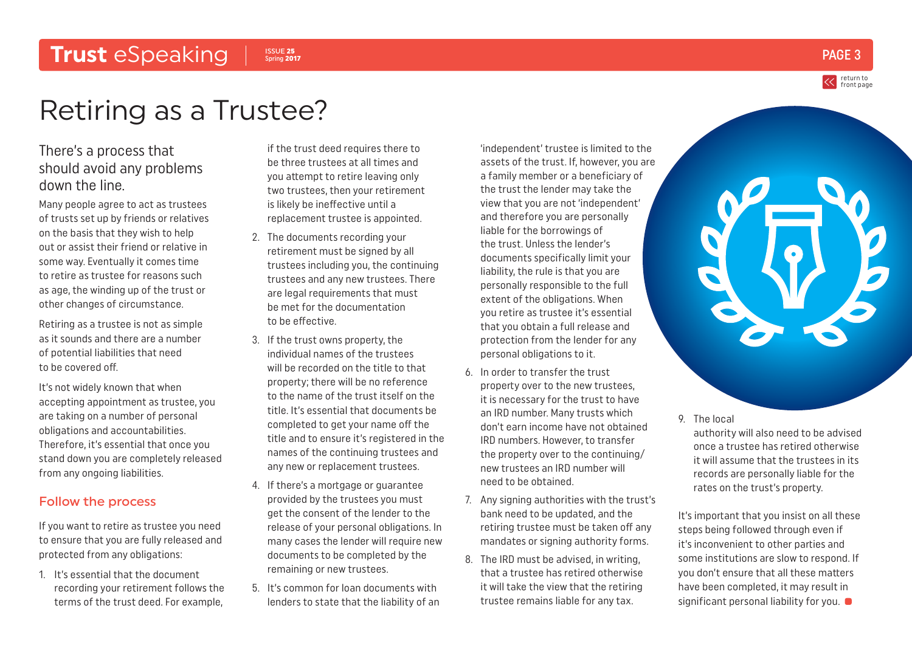## <span id="page-2-0"></span>**Trust** eSpeaking | Spring 2017

ISSUE 25  $_{\rm{Spring\,2017}}$  PAGE 3

return to [front page](#page-0-0)

# Retiring as a Trustee?

## There's a process that should avoid any problems down the line.

Many people agree to act as trustees of trusts set up by friends or relatives on the basis that they wish to help out or assist their friend or relative in some way. Eventually it comes time to retire as trustee for reasons such as age, the winding up of the trust or other changes of circumstance.

Retiring as a trustee is not as simple as it sounds and there are a number of potential liabilities that need to be covered off.

It's not widely known that when accepting appointment as trustee, you are taking on a number of personal obligations and accountabilities. Therefore, it's essential that once you stand down you are completely released from any ongoing liabilities.

### Follow the process

If you want to retire as trustee you need to ensure that you are fully released and protected from any obligations:

1. It's essential that the document recording your retirement follows the terms of the trust deed. For example,

if the trust deed requires there to be three trustees at all times and you attempt to retire leaving only two trustees, then your retirement is likely be ineffective until a replacement trustee is appointed.

- 2. The documents recording your retirement must be signed by all trustees including you, the continuing trustees and any new trustees. There are legal requirements that must be met for the documentation to be effective.
- 3. If the trust owns property, the individual names of the trustees will be recorded on the title to that property; there will be no reference to the name of the trust itself on the title. It's essential that documents be completed to get your name off the title and to ensure it's registered in the names of the continuing trustees and any new or replacement trustees.
- 4. If there's a mortgage or guarantee provided by the trustees you must get the consent of the lender to the release of your personal obligations. In many cases the lender will require new documents to be completed by the remaining or new trustees.
- 5. It's common for loan documents with lenders to state that the liability of an

'independent' trustee is limited to the assets of the trust. If, however, you are a family member or a beneficiary of the trust the lender may take the view that you are not 'independent' and therefore you are personally liable for the borrowings of the trust. Unless the lender's documents specifically limit your liability, the rule is that you are personally responsible to the full extent of the obligations. When you retire as trustee it's essential that you obtain a full release and protection from the lender for any personal obligations to it.

- 6. In order to transfer the trust property over to the new trustees, it is necessary for the trust to have an IRD number. Many trusts which don't earn income have not obtained IRD numbers. However, to transfer the property over to the continuing/ new trustees an IRD number will need to be obtained.
- 7. Any signing authorities with the trust's bank need to be updated, and the retiring trustee must be taken off any mandates or signing authority forms.
- 8. The IRD must be advised, in writing, that a trustee has retired otherwise it will take the view that the retiring trustee remains liable for any tax.



9. The local

authority will also need to be advised once a trustee has retired otherwise it will assume that the trustees in its records are personally liable for the rates on the trust's property.

It's important that you insist on all these steps being followed through even if it's inconvenient to other parties and some institutions are slow to respond. If you don't ensure that all these matters have been completed, it may result in significant personal liability for you.